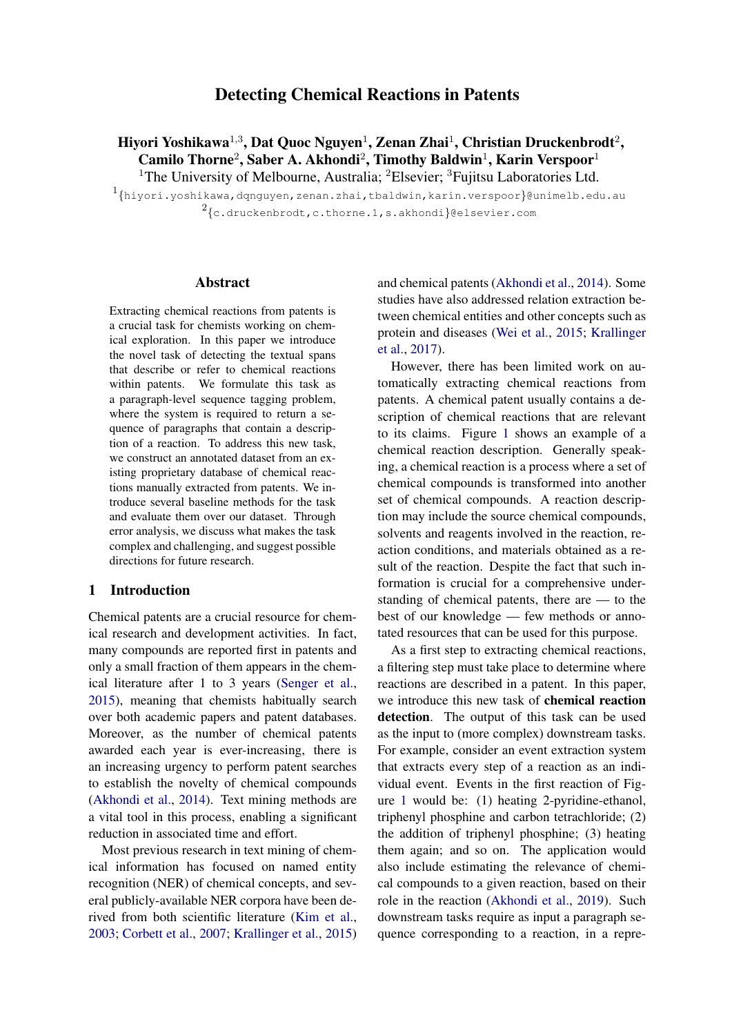# Detecting Chemical Reactions in Patents

Hiyori Yoshikawa $^{1,3}$ , Dat Quoc Nguyen $^{1}$ , Zenan Zhai $^{1}$ , Christian Druckenbrodt $^{2},$ Camilo Thorne<sup>2</sup>, Saber A. Akhondi<sup>2</sup>, Timothy Baldwin<sup>1</sup>, Karin Verspoor<sup>1</sup> <sup>1</sup>The University of Melbourne, Australia; <sup>2</sup>Elsevier; <sup>3</sup>Fujitsu Laboratories Ltd.

1 {hiyori.yoshikawa,dqnguyen,zenan.zhai,tbaldwin,karin.verspoor}@unimelb.edu.au  $^{2}\mathrm{\{c.druckenbrodt,c.thorne.1,s.akhondi\}}$ @elsevier.com

## Abstract

Extracting chemical reactions from patents is a crucial task for chemists working on chemical exploration. In this paper we introduce the novel task of detecting the textual spans that describe or refer to chemical reactions within patents. We formulate this task as a paragraph-level sequence tagging problem, where the system is required to return a sequence of paragraphs that contain a description of a reaction. To address this new task, we construct an annotated dataset from an existing proprietary database of chemical reactions manually extracted from patents. We introduce several baseline methods for the task and evaluate them over our dataset. Through error analysis, we discuss what makes the task complex and challenging, and suggest possible directions for future research.

# 1 Introduction

Chemical patents are a crucial resource for chemical research and development activities. In fact, many compounds are reported first in patents and only a small fraction of them appears in the chemical literature after 1 to 3 years [\(Senger et al.,](#page-9-0) [2015\)](#page-9-0), meaning that chemists habitually search over both academic papers and patent databases. Moreover, as the number of chemical patents awarded each year is ever-increasing, there is an increasing urgency to perform patent searches to establish the novelty of chemical compounds [\(Akhondi et al.,](#page-8-0) [2014\)](#page-8-0). Text mining methods are a vital tool in this process, enabling a significant reduction in associated time and effort.

Most previous research in text mining of chemical information has focused on named entity recognition (NER) of chemical concepts, and several publicly-available NER corpora have been derived from both scientific literature [\(Kim et al.,](#page-8-1) [2003;](#page-8-1) [Corbett et al.,](#page-8-2) [2007;](#page-8-2) [Krallinger et al.,](#page-9-1) [2015\)](#page-9-1)

and chemical patents [\(Akhondi et al.,](#page-8-0) [2014\)](#page-8-0). Some studies have also addressed relation extraction between chemical entities and other concepts such as protein and diseases [\(Wei et al.,](#page-9-2) [2015;](#page-9-2) [Krallinger](#page-8-3) [et al.,](#page-8-3) [2017\)](#page-8-3).

However, there has been limited work on automatically extracting chemical reactions from patents. A chemical patent usually contains a description of chemical reactions that are relevant to its claims. Figure [1](#page-1-0) shows an example of a chemical reaction description. Generally speaking, a chemical reaction is a process where a set of chemical compounds is transformed into another set of chemical compounds. A reaction description may include the source chemical compounds, solvents and reagents involved in the reaction, reaction conditions, and materials obtained as a result of the reaction. Despite the fact that such information is crucial for a comprehensive understanding of chemical patents, there are — to the best of our knowledge — few methods or annotated resources that can be used for this purpose.

As a first step to extracting chemical reactions, a filtering step must take place to determine where reactions are described in a patent. In this paper, we introduce this new task of chemical reaction detection. The output of this task can be used as the input to (more complex) downstream tasks. For example, consider an event extraction system that extracts every step of a reaction as an individual event. Events in the first reaction of Figure [1](#page-1-0) would be: (1) heating 2-pyridine-ethanol, triphenyl phosphine and carbon tetrachloride; (2) the addition of triphenyl phosphine; (3) heating them again; and so on. The application would also include estimating the relevance of chemical compounds to a given reaction, based on their role in the reaction [\(Akhondi et al.,](#page-8-4) [2019\)](#page-8-4). Such downstream tasks require as input a paragraph sequence corresponding to a reaction, in a repre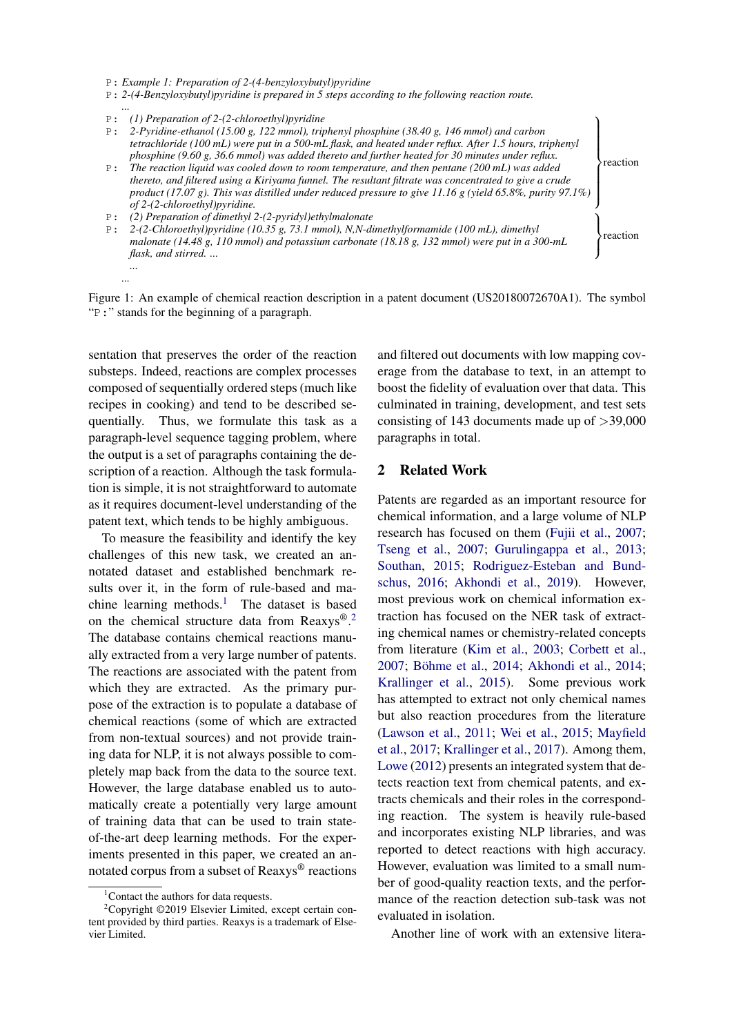P: *2-(4-Benzyloxybutyl)pyridine is prepared in 5 steps according to the following reaction route.*

*... ...*

- $\overline{\mathcal{L}}$ P: *2-Pyridine-ethanol (15.00 g, 122 mmol), triphenyl phosphine (38.40 g, 146 mmol) and carbon tetrachloride (100 mL) were put in a 500-mL flask, and heated under reflux. After 1.5 hours, triphenyl phosphine (9.60 g, 36.6 mmol) was added thereto and further heated for 30 minutes under reflux.*
- $\begin{matrix} \end{matrix}$ P: *The reaction liquid was cooled down to room temperature, and then pentane (200 mL) was added thereto, and filtered using a Kiriyama funnel. The resultant filtrate was concentrated to give a crude product (17.07 g). This was distilled under reduced pressure to give 11.16 g (yield 65.8%, purity 97.1%) of 2-(2-chloroethyl)pyridine.*
- P: *(2) Preparation of dimethyl 2-(2-pyridyl)ethylmalonate*
- $\mathcal{L}$  $\int$ P: 2-(2-Chloroethyl)pyridine (10.35 g, 73.1 mmol), N,N-dimethylformamide (100 mL), dimethyl<br>reaction *malonate (14.48 g, 110 mmol) and potassium carbonate (18.18 g, 132 mmol) were put in a 300-mL flask, and stirred. ...*

Figure 1: An example of chemical reaction description in a patent document (US20180072670A1). The symbol "P:" stands for the beginning of a paragraph.

sentation that preserves the order of the reaction substeps. Indeed, reactions are complex processes composed of sequentially ordered steps (much like recipes in cooking) and tend to be described sequentially. Thus, we formulate this task as a paragraph-level sequence tagging problem, where the output is a set of paragraphs containing the description of a reaction. Although the task formulation is simple, it is not straightforward to automate as it requires document-level understanding of the patent text, which tends to be highly ambiguous.

To measure the feasibility and identify the key challenges of this new task, we created an annotated dataset and established benchmark results over it, in the form of rule-based and ma-chine learning methods.<sup>[1](#page-1-1)</sup> The dataset is based on the chemical structure data from Reaxys®.<sup>[2](#page-1-2)</sup> The database contains chemical reactions manually extracted from a very large number of patents. The reactions are associated with the patent from which they are extracted. As the primary purpose of the extraction is to populate a database of chemical reactions (some of which are extracted from non-textual sources) and not provide training data for NLP, it is not always possible to completely map back from the data to the source text. However, the large database enabled us to automatically create a potentially very large amount of training data that can be used to train stateof-the-art deep learning methods. For the experiments presented in this paper, we created an annotated corpus from a subset of Reaxys® reactions

and filtered out documents with low mapping coverage from the database to text, in an attempt to boost the fidelity of evaluation over that data. This culminated in training, development, and test sets consisting of 143 documents made up of  $>$ 39,000 paragraphs in total.

reaction

## 2 Related Work

Patents are regarded as an important resource for chemical information, and a large volume of NLP research has focused on them [\(Fujii et al.,](#page-8-5) [2007;](#page-8-5) [Tseng et al.,](#page-9-3) [2007;](#page-9-3) [Gurulingappa et al.,](#page-8-6) [2013;](#page-8-6) [Southan,](#page-9-4) [2015;](#page-9-4) [Rodriguez-Esteban and Bund](#page-9-5)[schus,](#page-9-5) [2016;](#page-9-5) [Akhondi et al.,](#page-8-4) [2019\)](#page-8-4). However, most previous work on chemical information extraction has focused on the NER task of extracting chemical names or chemistry-related concepts from literature [\(Kim et al.,](#page-8-1) [2003;](#page-8-1) [Corbett et al.,](#page-8-2) [2007;](#page-8-2) Böhme et al., [2014;](#page-8-0) [Akhondi et al.,](#page-8-0) 2014; [Krallinger et al.,](#page-9-1) [2015\)](#page-9-1). Some previous work has attempted to extract not only chemical names but also reaction procedures from the literature [\(Lawson et al.,](#page-9-6) [2011;](#page-9-6) [Wei et al.,](#page-9-2) [2015;](#page-9-2) [Mayfield](#page-9-7) [et al.,](#page-9-7) [2017;](#page-9-7) [Krallinger et al.,](#page-8-3) [2017\)](#page-8-3). Among them, [Lowe](#page-9-8) [\(2012\)](#page-9-8) presents an integrated system that detects reaction text from chemical patents, and extracts chemicals and their roles in the corresponding reaction. The system is heavily rule-based and incorporates existing NLP libraries, and was reported to detect reactions with high accuracy. However, evaluation was limited to a small number of good-quality reaction texts, and the performance of the reaction detection sub-task was not evaluated in isolation.

Another line of work with an extensive litera-

<span id="page-1-0"></span>P: *Example 1: Preparation of 2-(4-benzyloxybutyl)pyridine*

*<sup>...</sup>* P: *(1) Preparation of 2-(2-chloroethyl)pyridine*

<span id="page-1-2"></span><span id="page-1-1"></span><sup>&</sup>lt;sup>1</sup>Contact the authors for data requests.

<sup>2</sup>Copyright ©2019 Elsevier Limited, except certain content provided by third parties. Reaxys is a trademark of Elsevier Limited.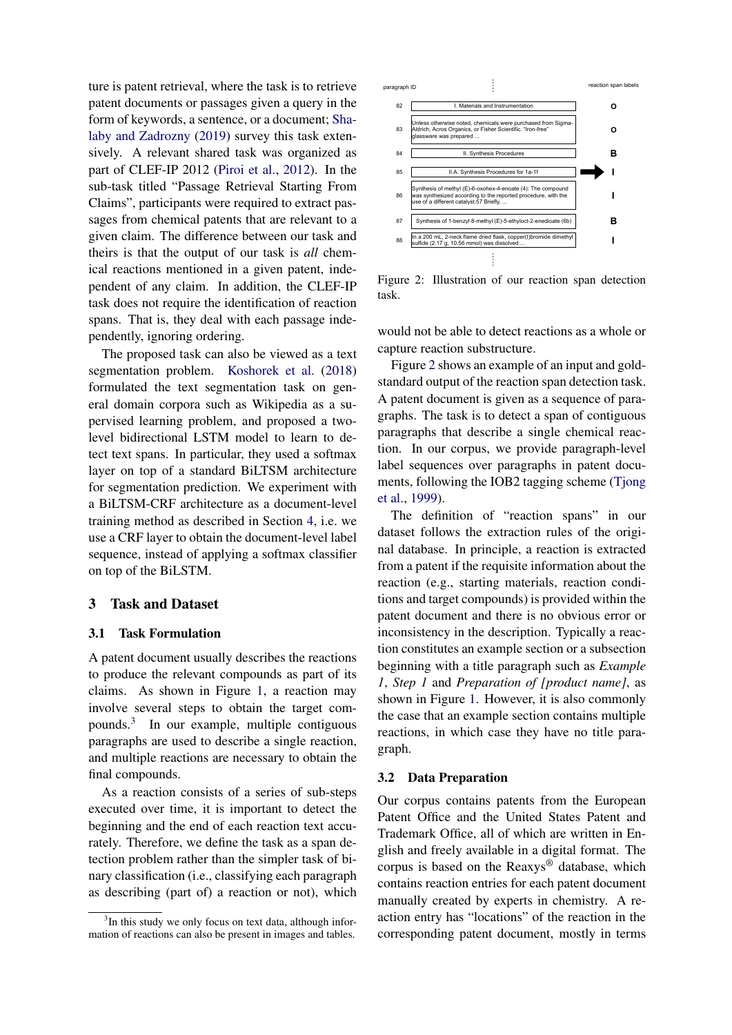ture is patent retrieval, where the task is to retrieve patent documents or passages given a query in the form of keywords, a sentence, or a document; [Sha](#page-9-9)[laby and Zadrozny](#page-9-9) [\(2019\)](#page-9-9) survey this task extensively. A relevant shared task was organized as part of CLEF-IP 2012 [\(Piroi et al.,](#page-9-10) [2012\)](#page-9-10). In the sub-task titled "Passage Retrieval Starting From Claims", participants were required to extract passages from chemical patents that are relevant to a given claim. The difference between our task and theirs is that the output of our task is *all* chemical reactions mentioned in a given patent, independent of any claim. In addition, the CLEF-IP task does not require the identification of reaction spans. That is, they deal with each passage independently, ignoring ordering.

The proposed task can also be viewed as a text segmentation problem. [Koshorek et al.](#page-8-8) [\(2018\)](#page-8-8) formulated the text segmentation task on general domain corpora such as Wikipedia as a supervised learning problem, and proposed a twolevel bidirectional LSTM model to learn to detect text spans. In particular, they used a softmax layer on top of a standard BiLTSM architecture for segmentation prediction. We experiment with a BiLTSM-CRF architecture as a document-level training method as described in Section [4,](#page-3-0) i.e. we use a CRF layer to obtain the document-level label sequence, instead of applying a softmax classifier on top of the BiLSTM.

#### 3 Task and Dataset

#### 3.1 Task Formulation

A patent document usually describes the reactions to produce the relevant compounds as part of its claims. As shown in Figure [1,](#page-1-0) a reaction may involve several steps to obtain the target compounds.[3](#page-2-0) In our example, multiple contiguous paragraphs are used to describe a single reaction, and multiple reactions are necessary to obtain the final compounds.

As a reaction consists of a series of sub-steps executed over time, it is important to detect the beginning and the end of each reaction text accurately. Therefore, we define the task as a span detection problem rather than the simpler task of binary classification (i.e., classifying each paragraph as describing (part of) a reaction or not), which

<span id="page-2-1"></span>

Figure 2: Illustration of our reaction span detection task.

would not be able to detect reactions as a whole or capture reaction substructure.

Figure [2](#page-2-1) shows an example of an input and goldstandard output of the reaction span detection task. A patent document is given as a sequence of paragraphs. The task is to detect a span of contiguous paragraphs that describe a single chemical reaction. In our corpus, we provide paragraph-level label sequences over paragraphs in patent documents, following the IOB2 tagging scheme [\(Tjong](#page-9-11) [et al.,](#page-9-11) [1999\)](#page-9-11).

The definition of "reaction spans" in our dataset follows the extraction rules of the original database. In principle, a reaction is extracted from a patent if the requisite information about the reaction (e.g., starting materials, reaction conditions and target compounds) is provided within the patent document and there is no obvious error or inconsistency in the description. Typically a reaction constitutes an example section or a subsection beginning with a title paragraph such as *Example 1*, *Step 1* and *Preparation of [product name]*, as shown in Figure [1.](#page-1-0) However, it is also commonly the case that an example section contains multiple reactions, in which case they have no title paragraph.

#### 3.2 Data Preparation

Our corpus contains patents from the European Patent Office and the United States Patent and Trademark Office, all of which are written in English and freely available in a digital format. The corpus is based on the Reaxys® database, which contains reaction entries for each patent document manually created by experts in chemistry. A reaction entry has "locations" of the reaction in the corresponding patent document, mostly in terms

<span id="page-2-0"></span><sup>&</sup>lt;sup>3</sup>In this study we only focus on text data, although information of reactions can also be present in images and tables.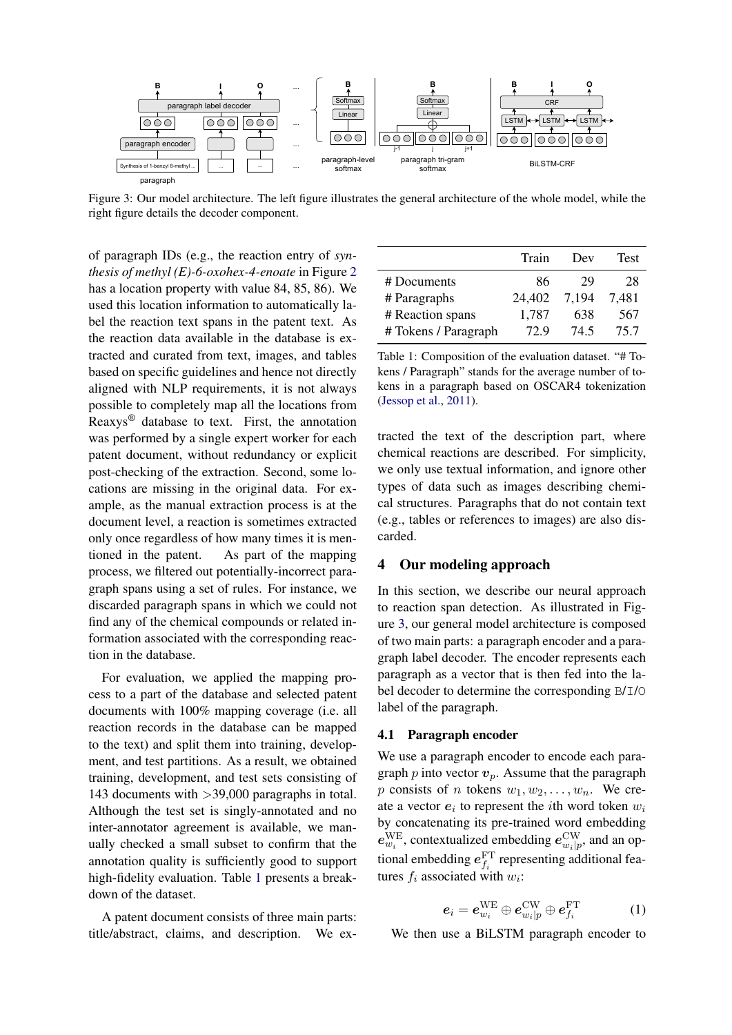<span id="page-3-2"></span>

Figure 3: Our model architecture. The left figure illustrates the general architecture of the whole model, while the right figure details the decoder component.

of paragraph IDs (e.g., the reaction entry of *synthesis of methyl (E)-6-oxohex-4-enoate* in Figure [2](#page-2-1) has a location property with value 84, 85, 86). We used this location information to automatically label the reaction text spans in the patent text. As the reaction data available in the database is extracted and curated from text, images, and tables based on specific guidelines and hence not directly aligned with NLP requirements, it is not always possible to completely map all the locations from Reaxys® database to text. First, the annotation was performed by a single expert worker for each patent document, without redundancy or explicit post-checking of the extraction. Second, some locations are missing in the original data. For example, as the manual extraction process is at the document level, a reaction is sometimes extracted only once regardless of how many times it is mentioned in the patent. As part of the mapping process, we filtered out potentially-incorrect paragraph spans using a set of rules. For instance, we discarded paragraph spans in which we could not find any of the chemical compounds or related information associated with the corresponding reaction in the database.

For evaluation, we applied the mapping process to a part of the database and selected patent documents with 100% mapping coverage (i.e. all reaction records in the database can be mapped to the text) and split them into training, development, and test partitions. As a result, we obtained training, development, and test sets consisting of 143 documents with >39,000 paragraphs in total. Although the test set is singly-annotated and no inter-annotator agreement is available, we manually checked a small subset to confirm that the annotation quality is sufficiently good to support high-fidelity evaluation. Table [1](#page-3-1) presents a breakdown of the dataset.

A patent document consists of three main parts: title/abstract, claims, and description. We ex-

<span id="page-3-1"></span>

|                      | Train  | Dev   | Test  |
|----------------------|--------|-------|-------|
| # Documents          | 86     | 29    | 28    |
| # Paragraphs         | 24,402 | 7,194 | 7.481 |
| # Reaction spans     | 1,787  | 638   | 567   |
| # Tokens / Paragraph | 72.9   | 74.5  | 75.7  |

Table 1: Composition of the evaluation dataset. "# Tokens / Paragraph" stands for the average number of tokens in a paragraph based on OSCAR4 tokenization [\(Jessop et al.,](#page-8-9) [2011\)](#page-8-9).

tracted the text of the description part, where chemical reactions are described. For simplicity, we only use textual information, and ignore other types of data such as images describing chemical structures. Paragraphs that do not contain text (e.g., tables or references to images) are also discarded.

## <span id="page-3-0"></span>4 Our modeling approach

In this section, we describe our neural approach to reaction span detection. As illustrated in Figure [3,](#page-3-2) our general model architecture is composed of two main parts: a paragraph encoder and a paragraph label decoder. The encoder represents each paragraph as a vector that is then fed into the label decoder to determine the corresponding B/I/O label of the paragraph.

## 4.1 Paragraph encoder

We use a paragraph encoder to encode each paragraph  $p$  into vector  $v_p$ . Assume that the paragraph p consists of n tokens  $w_1, w_2, \ldots, w_n$ . We create a vector  $e_i$  to represent the *i*th word token  $w_i$ by concatenating its pre-trained word embedding  $e_{w_i}^{\text{WE}}$ , contextualized embedding  $e_{w_i|p}^{\text{CW}}$ , and an optional embedding  $e_{f_i}^{\text{FT}}$  representing additional features  $f_i$  associated with  $w_i$ :

$$
\boldsymbol{e}_i = \boldsymbol{e}_{w_i}^{\text{WE}} \oplus \boldsymbol{e}_{w_i|p}^{\text{CW}} \oplus \boldsymbol{e}_{f_i}^{\text{FT}} \hspace{1.5cm} (1)
$$

<span id="page-3-3"></span>We then use a BiLSTM paragraph encoder to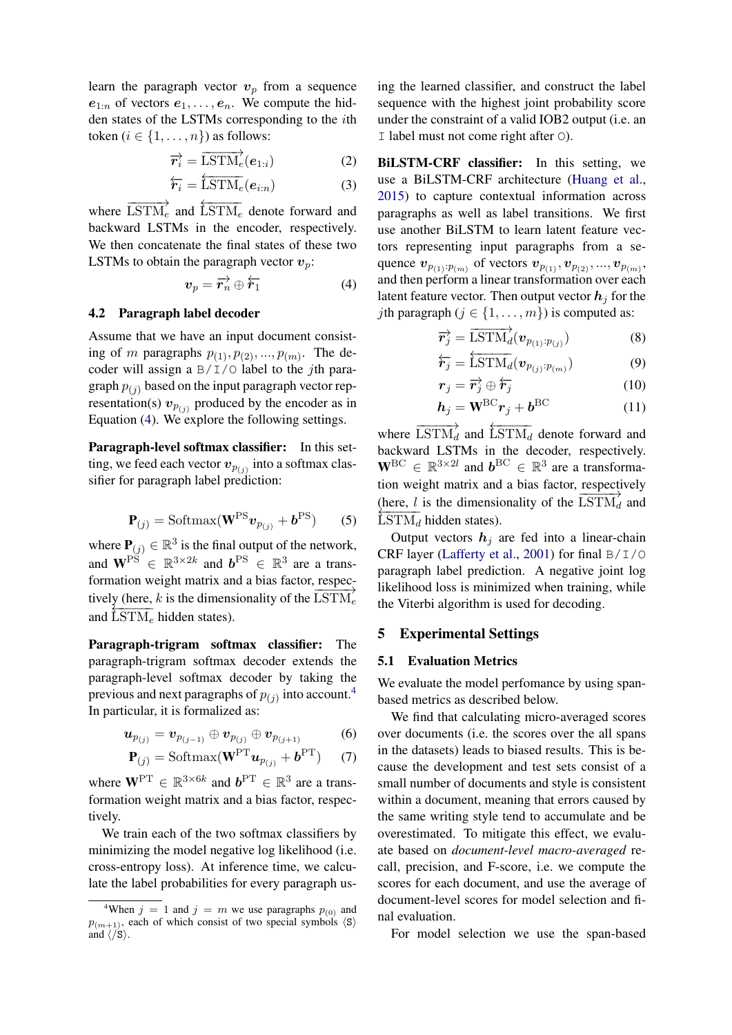learn the paragraph vector  $v_p$  from a sequence  $e_{1:n}$  of vectors  $e_1, \ldots, e_n$ . We compute the hidden states of the LSTMs corresponding to the ith token ( $i \in \{1, \ldots, n\}$ ) as follows:

$$
\overrightarrow{\boldsymbol{r}_{i}} = \overrightarrow{\text{LSTM}}_{e}(\boldsymbol{e}_{1:i})
$$
\n(2)

$$
\overleftarrow{\boldsymbol{r}_i} = \overleftarrow{\text{LSTM}_e}(\boldsymbol{e}_{i:n}) \tag{3}
$$

where  $\overrightarrow{\text{LSTM}}_e$  and  $\overleftarrow{\text{LSTM}}_e$  denote forward and backward LSTMs in the encoder, respectively. We then concatenate the final states of these two LSTMs to obtain the paragraph vector  $v_p$ :

$$
\boldsymbol{v}_p = \overrightarrow{\boldsymbol{r}_n} \oplus \overleftarrow{\boldsymbol{r}_1} \tag{4}
$$

#### 4.2 Paragraph label decoder

Assume that we have an input document consisting of m paragraphs  $p_{(1)}$ ,  $p_{(2)}$ , ...,  $p_{(m)}$ . The decoder will assign a  $B/I/O$  label to the *j*th paragraph  $p_{(i)}$  based on the input paragraph vector representation(s)  $v_{p(j)}$  produced by the encoder as in Equation [\(4\)](#page-4-0). We explore the following settings.

Paragraph-level softmax classifier: In this setting, we feed each vector  $v_{p_{(j)}}$  into a softmax classifier for paragraph label prediction:

$$
\mathbf{P}_{(j)} = \text{Softmax}(\mathbf{W}^{PS} \boldsymbol{v}_{p_{(j)}} + \boldsymbol{b}^{PS}) \qquad (5)
$$

where  $P(j) \in \mathbb{R}^3$  is the final output of the network, and  $\mathbf{W}^{\text{PS}} \in \mathbb{R}^{3 \times 2k}$  and  $\mathbf{b}^{\text{PS}} \in \mathbb{R}^{3}$  are a transformation weight matrix and a bias factor, respectively (here, k is the dimensionality of the  $\overrightarrow{LSTM_e}$ and  $\overline{\text{LSTM}_e}$  hidden states).

Paragraph-trigram softmax classifier: The paragraph-trigram softmax decoder extends the paragraph-level softmax decoder by taking the previous and next paragraphs of  $p_{(j)}$  into account.<sup>[4](#page-4-1)</sup> In particular, it is formalized as:

$$
\bm{u}_{p_{(j)}} = \bm{v}_{p_{(j-1)}} \oplus \bm{v}_{p_{(j)}} \oplus \bm{v}_{p_{(j+1)}} \hspace{1cm} (6)
$$

$$
\mathbf{P}_{(j)} = \text{Softmax}(\mathbf{W}^{\text{PT}}\boldsymbol{u}_{p_{(j)}} + \boldsymbol{b}^{\text{PT}})
$$
 (7)

where  $\mathbf{W}^{\mathrm{PT}} \in \mathbb{R}^{3 \times 6k}$  and  $\mathbf{b}^{\mathrm{PT}} \in \mathbb{R}^{3}$  are a transformation weight matrix and a bias factor, respectively.

We train each of the two softmax classifiers by minimizing the model negative log likelihood (i.e. cross-entropy loss). At inference time, we calculate the label probabilities for every paragraph using the learned classifier, and construct the label sequence with the highest joint probability score under the constraint of a valid IOB2 output (i.e. an I label must not come right after O).

BiLSTM-CRF classifier: In this setting, we use a BiLSTM-CRF architecture [\(Huang et al.,](#page-8-10) [2015\)](#page-8-10) to capture contextual information across paragraphs as well as label transitions. We first use another BiLSTM to learn latent feature vectors representing input paragraphs from a sequence  $v_{p_{(1)}:p_{(m)}}$  of vectors  $v_{p_{(1)}}, v_{p_{(2)}}, ..., v_{p_{(m)}},$ and then perform a linear transformation over each latent feature vector. Then output vector  $h_i$  for the *j*th paragraph ( $j \in \{1, \ldots, m\}$ ) is computed as:

<span id="page-4-0"></span>
$$
\overrightarrow{\boldsymbol{r}_{j}}=\overrightarrow{\text{LSTM}}_{d}(\boldsymbol{v}_{p_{(1)}:p_{(j)}})
$$
\n(8)

$$
\overleftarrow{\boldsymbol{r}_j} = \overleftarrow{\text{LSTM}_d}(\boldsymbol{v}_{p_{(j)}:p_{(m)}})
$$
\n(9)

$$
\boldsymbol{r}_j = \overrightarrow{\boldsymbol{r}_j} \oplus \overleftarrow{\boldsymbol{r}_j} \tag{10}
$$

$$
h_j = W^{\rm BC} r_j + b^{\rm BC} \tag{11}
$$

where  $\overrightarrow{\text{LSTM}}_d$  and  $\overleftarrow{\text{LSTM}}_d$  denote forward and backward LSTMs in the decoder, respectively.  $\mathbf{W}^{\text{BC}} \in \mathbb{R}^{3 \times 2l}$  and  $\mathbf{b}^{\text{BC}} \in \mathbb{R}^{3}$  are a transformation weight matrix and a bias factor, respectively (here, l is the dimensionality of the  $\overline{\text{LSTM}}_d$  and  $\text{LSTM}_d$  hidden states).

Output vectors  $h_i$  are fed into a linear-chain CRF layer [\(Lafferty et al.,](#page-9-12) [2001\)](#page-9-12) for final B/I/O paragraph label prediction. A negative joint log likelihood loss is minimized when training, while the Viterbi algorithm is used for decoding.

## 5 Experimental Settings

#### 5.1 Evaluation Metrics

We evaluate the model perfomance by using spanbased metrics as described below.

We find that calculating micro-averaged scores over documents (i.e. the scores over the all spans in the datasets) leads to biased results. This is because the development and test sets consist of a small number of documents and style is consistent within a document, meaning that errors caused by the same writing style tend to accumulate and be overestimated. To mitigate this effect, we evaluate based on *document-level macro-averaged* recall, precision, and F-score, i.e. we compute the scores for each document, and use the average of document-level scores for model selection and final evaluation.

For model selection we use the span-based

<span id="page-4-1"></span><sup>&</sup>lt;sup>4</sup>When  $j = 1$  and  $j = m$  we use paragraphs  $p_{(0)}$  and  $p_{(m+1)}$ , each of which consist of two special symbols  $\langle s \rangle$ and  $\langle \overline{\smash{\big)}\,}$ .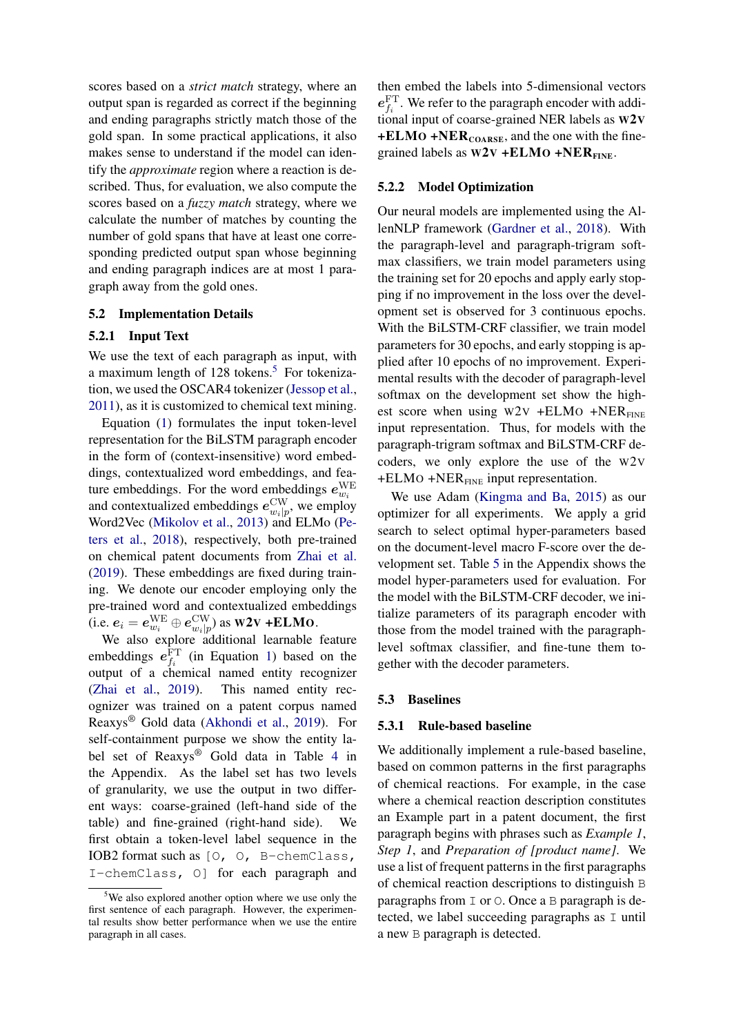scores based on a *strict match* strategy, where an output span is regarded as correct if the beginning and ending paragraphs strictly match those of the gold span. In some practical applications, it also makes sense to understand if the model can identify the *approximate* region where a reaction is described. Thus, for evaluation, we also compute the scores based on a *fuzzy match* strategy, where we calculate the number of matches by counting the number of gold spans that have at least one corresponding predicted output span whose beginning and ending paragraph indices are at most 1 paragraph away from the gold ones.

### 5.2 Implementation Details

## <span id="page-5-1"></span>5.2.1 Input Text

We use the text of each paragraph as input, with a maximum length of 128 tokens.<sup>[5](#page-5-0)</sup> For tokenization, we used the OSCAR4 tokenizer [\(Jessop et al.,](#page-8-9) [2011\)](#page-8-9), as it is customized to chemical text mining.

Equation [\(1\)](#page-3-3) formulates the input token-level representation for the BiLSTM paragraph encoder in the form of (context-insensitive) word embeddings, contextualized word embeddings, and feature embeddings. For the word embeddings  $e_{w_i}^{\text{WE}}$ and contextualized embeddings  $e_{w_i|p}^{\text{CW}}$ , we employ Word2Vec [\(Mikolov et al.,](#page-9-13) [2013\)](#page-9-13) and ELMo [\(Pe](#page-9-14)[ters et al.,](#page-9-14) [2018\)](#page-9-14), respectively, both pre-trained on chemical patent documents from [Zhai et al.](#page-9-15) [\(2019\)](#page-9-15). These embeddings are fixed during training. We denote our encoder employing only the pre-trained word and contextualized embeddings (i.e.  $e_i = e_{w_i}^{\text{WE}} \oplus e_{w_i|p}^{\text{CW}}$ ) as W2V +ELMO.

We also explore additional learnable feature embeddings  $e_{f_i}^{\text{FT}}$  (in Equation [1\)](#page-3-3) based on the output of a chemical named entity recognizer [\(Zhai et al.,](#page-9-15) [2019\)](#page-9-15). This named entity recognizer was trained on a patent corpus named Reaxys® Gold data [\(Akhondi et al.,](#page-8-4) [2019\)](#page-8-4). For self-containment purpose we show the entity label set of Reaxys® Gold data in Table [4](#page-10-0) in the Appendix. As the label set has two levels of granularity, we use the output in two different ways: coarse-grained (left-hand side of the table) and fine-grained (right-hand side). We first obtain a token-level label sequence in the IOB2 format such as [O, O, B-chemClass, I-chemClass, O] for each paragraph and then embed the labels into 5-dimensional vectors  $e_{f_i}^{\text{FT}}$ . We refer to the paragraph encoder with additional input of coarse-grained NER labels as W2V  $+ELMO + NER<sub>COARSE</sub>$ , and the one with the finegrained labels as  $W2V$  +ELMO +NER<sub>FINE</sub>.

### 5.2.2 Model Optimization

Our neural models are implemented using the AllenNLP framework [\(Gardner et al.,](#page-8-11) [2018\)](#page-8-11). With the paragraph-level and paragraph-trigram softmax classifiers, we train model parameters using the training set for 20 epochs and apply early stopping if no improvement in the loss over the development set is observed for 3 continuous epochs. With the BiLSTM-CRF classifier, we train model parameters for 30 epochs, and early stopping is applied after 10 epochs of no improvement. Experimental results with the decoder of paragraph-level softmax on the development set show the highest score when using  $W2V$  +ELMO +NER<sub>FINE</sub> input representation. Thus, for models with the paragraph-trigram softmax and BiLSTM-CRF decoders, we only explore the use of the W2V  $+ELMO + NER<sub>FINE</sub>$  input representation.

We use Adam [\(Kingma and Ba,](#page-8-12) [2015\)](#page-8-12) as our optimizer for all experiments. We apply a grid search to select optimal hyper-parameters based on the document-level macro F-score over the development set. Table [5](#page-10-1) in the Appendix shows the model hyper-parameters used for evaluation. For the model with the BiLSTM-CRF decoder, we initialize parameters of its paragraph encoder with those from the model trained with the paragraphlevel softmax classifier, and fine-tune them together with the decoder parameters.

#### 5.3 Baselines

#### 5.3.1 Rule-based baseline

We additionally implement a rule-based baseline, based on common patterns in the first paragraphs of chemical reactions. For example, in the case where a chemical reaction description constitutes an Example part in a patent document, the first paragraph begins with phrases such as *Example 1*, *Step 1*, and *Preparation of [product name]*. We use a list of frequent patterns in the first paragraphs of chemical reaction descriptions to distinguish B paragraphs from I or O. Once a B paragraph is detected, we label succeeding paragraphs as I until a new B paragraph is detected.

<span id="page-5-0"></span><sup>5</sup>We also explored another option where we use only the first sentence of each paragraph. However, the experimental results show better performance when we use the entire paragraph in all cases.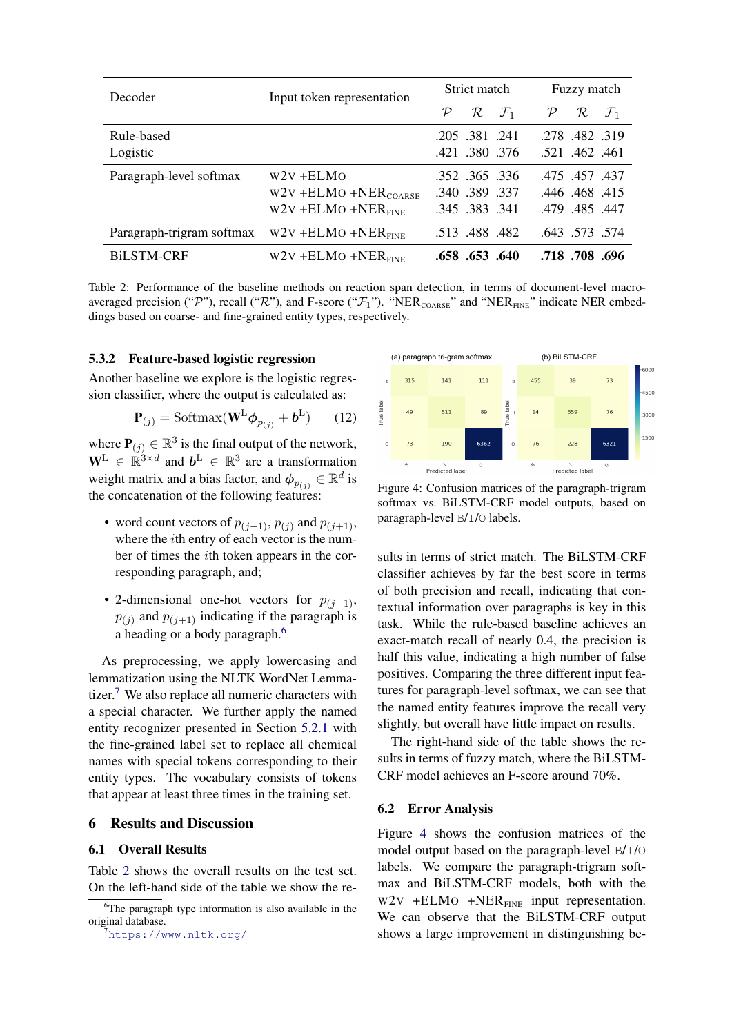<span id="page-6-2"></span>

| Decoder                                                      | Input token representation         | Strict match                                   | Fuzzy match                           |  |
|--------------------------------------------------------------|------------------------------------|------------------------------------------------|---------------------------------------|--|
|                                                              |                                    | $\mathcal{R}$ $\mathcal{F}_1$<br>$\mathcal{P}$ | $\mathcal{P}$<br>R<br>$\mathcal{F}_1$ |  |
| Rule-based                                                   |                                    | .205.381.241                                   | .278.482.319                          |  |
| Logistic                                                     |                                    | .421 .380 .376                                 | .521 .462 .461                        |  |
| Paragraph-level softmax                                      | $W2V + ELMO$                       | .352 .365 .336                                 | 475, 457, 437                         |  |
|                                                              | $W2V$ +ELMO +NER <sub>COARSE</sub> | .340.389.337                                   | .446 .468 .415                        |  |
|                                                              | $W2V$ +ELMO +NER <sub>FINE</sub>   | .345 .383 .341                                 | .479 .485 .447                        |  |
| Paragraph-trigram softmax $W2V + ELMO + NER$ <sub>FINE</sub> |                                    | .513 .488 .482                                 | .643 .573 .574                        |  |
| <b>BiLSTM-CRF</b>                                            | $W2V$ +ELMO +NER <sub>FINE</sub>   | .658 .653 .640                                 | .718.708.696                          |  |

Table 2: Performance of the baseline methods on reaction span detection, in terms of document-level macroaveraged precision ("P"), recall ("R"), and F-score (" $\mathcal{F}_1$ "). "NER<sub>COARSE</sub>" and "NER<sub>FINE</sub>" indicate NER embeddings based on coarse- and fine-grained entity types, respectively.

### 5.3.2 Feature-based logistic regression

Another baseline we explore is the logistic regression classifier, where the output is calculated as:

$$
\mathbf{P}_{(j)} = \text{Softmax}(\mathbf{W}^{\text{L}}\boldsymbol{\phi}_{p_{(j)}} + \boldsymbol{b}^{\text{L}})
$$
 (12)

where  $P(j) \in \mathbb{R}^3$  is the final output of the network,  $\mathbf{W}^{\text{L}} \in \mathbb{R}^{3 \times d}$  and  $\mathbf{b}^{\text{L}} \in \mathbb{R}^{3}$  are a transformation weight matrix and a bias factor, and  $\phi_{p_{(j)}} \in \mathbb{R}^d$  is the concatenation of the following features:

- word count vectors of  $p_{(j-1)}, p_{(j)}$  and  $p_{(j+1)}$ , where the *i*th entry of each vector is the number of times the ith token appears in the corresponding paragraph, and;
- 2-dimensional one-hot vectors for  $p_{(i-1)}$ ,  $p_{(j)}$  and  $p_{(j+1)}$  indicating if the paragraph is a heading or a body paragraph.<sup>[6](#page-6-0)</sup>

As preprocessing, we apply lowercasing and lemmatization using the NLTK WordNet Lemma-tizer.<sup>[7](#page-6-1)</sup> We also replace all numeric characters with a special character. We further apply the named entity recognizer presented in Section [5.2.1](#page-5-1) with the fine-grained label set to replace all chemical names with special tokens corresponding to their entity types. The vocabulary consists of tokens that appear at least three times in the training set.

### 6 Results and Discussion

### 6.1 Overall Results

Table [2](#page-6-2) shows the overall results on the test set. On the left-hand side of the table we show the re-

<span id="page-6-3"></span>

Figure 4: Confusion matrices of the paragraph-trigram softmax vs. BiLSTM-CRF model outputs, based on paragraph-level B/I/O labels.

sults in terms of strict match. The BiLSTM-CRF classifier achieves by far the best score in terms of both precision and recall, indicating that contextual information over paragraphs is key in this task. While the rule-based baseline achieves an exact-match recall of nearly 0.4, the precision is half this value, indicating a high number of false positives. Comparing the three different input features for paragraph-level softmax, we can see that the named entity features improve the recall very slightly, but overall have little impact on results.

The right-hand side of the table shows the results in terms of fuzzy match, where the BiLSTM-CRF model achieves an F-score around 70%.

#### 6.2 Error Analysis

Figure [4](#page-6-3) shows the confusion matrices of the model output based on the paragraph-level B/I/O labels. We compare the paragraph-trigram softmax and BiLSTM-CRF models, both with the  $W2V$  +ELMO +NER<sub>FINE</sub> input representation. We can observe that the BiLSTM-CRF output shows a large improvement in distinguishing be-

<span id="page-6-0"></span> $6$ The paragraph type information is also available in the original database.

<span id="page-6-1"></span> $7$ <https://www.nltk.org/>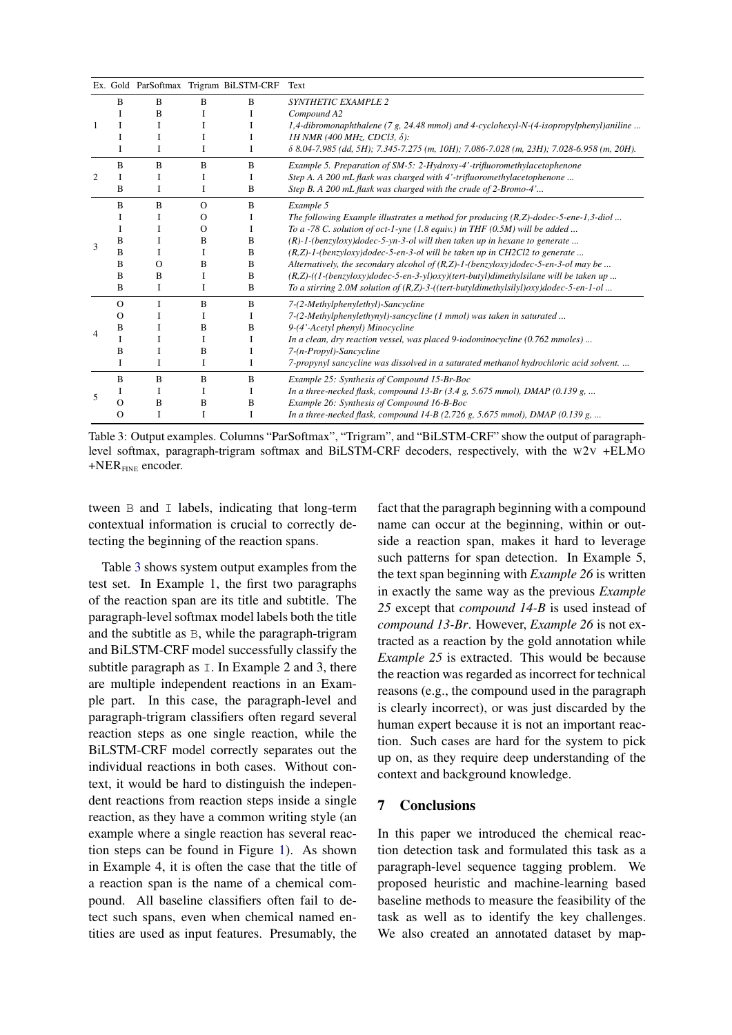<span id="page-7-0"></span>

|                |          |          |          | Ex. Gold ParSoftmax Trigram BiLSTM-CRF | Text                                                                                                      |
|----------------|----------|----------|----------|----------------------------------------|-----------------------------------------------------------------------------------------------------------|
| 1              | B        | B        | B        | B                                      | SYNTHETIC EXAMPLE 2                                                                                       |
|                |          | B        |          |                                        | Compound A2                                                                                               |
|                |          |          |          |                                        | 1,4-dibromonaphthalene (7 g, 24.48 mmol) and 4-cyclohexyl-N-(4-isopropylphenyl)aniline                    |
|                |          |          |          | I                                      | 1H NMR (400 MHz, CDCl3, $\delta$ ):                                                                       |
|                | Ι        | I        | 1        | I                                      | $\delta$ 8.04-7.985 (dd, 5H); 7.345-7.275 (m, 10H); 7.086-7.028 (m, 23H); 7.028-6.958 (m, 20H).           |
| $\overline{c}$ | B        | B        | B        | B                                      | Example 5. Preparation of SM-5: 2-Hydroxy-4'-trifluoromethylacetophenone                                  |
|                |          |          |          |                                        | Step A. A 200 mL flask was charged with 4'-trifluoromethylacetophenone                                    |
|                | B        | I        | I        | B                                      | Step B. A 200 mL flask was charged with the crude of 2-Bromo-4'                                           |
| $\mathbf{3}$   | B        | B        | $\Omega$ | B                                      | Example 5                                                                                                 |
|                | I        | I        | $\Omega$ |                                        | The following Example illustrates a method for producing $(R,Z)$ -dodec-5-ene-1,3-diol                    |
|                | 1        |          | $\Omega$ |                                        | To a -78 C. solution of oct-1-yne (1.8 equiv.) in THF (0.5M) will be added                                |
|                | B        |          | B        | B                                      | $(R)-1$ -(benzyloxy)dodec-5-yn-3-ol will then taken up in hexane to generate                              |
|                | B        |          |          | B                                      | (R,Z)-1-(benzyloxy)dodec-5-en-3-ol will be taken up in CH2Cl2 to generate                                 |
|                | B        | $\Omega$ | B        | В                                      | Alternatively, the secondary alcohol of $(R,Z)$ -1-(benzyloxy)dodec-5-en-3-ol may be                      |
|                | B        | B        | I        | B                                      | (R,Z)-((1-(benzyloxy)dodec-5-en-3-yl)oxy)(tert-butyl)dimethylsilane will be taken up                      |
|                | B        | I        | I        | B                                      | To a stirring 2.0M solution of $(R,Z)$ -3- $($ (tert-butyldimethylsilyl) $oxy$ )dodec-5-en-1-ol           |
|                | $\Omega$ | I        | B        | B                                      | 7-(2-Methylphenylethyl)-Sancycline                                                                        |
|                | О        |          |          |                                        | 7-(2-Methylphenylethynyl)-sancycline (1 mmol) was taken in saturated                                      |
| 4              | B        |          | B        | B                                      | 9-(4'-Acetyl phenyl) Minocycline                                                                          |
|                |          |          |          |                                        | In a clean, dry reaction vessel, was placed 9-iodominocycline (0.762 mmoles)                              |
|                | B        |          | B        |                                        | 7-(n-Propyl)-Sancycline                                                                                   |
|                | I        | I        | I        | I                                      | 7-propynyl sancycline was dissolved in a saturated methanol hydrochloric acid solvent.                    |
| 5              | B        | B        | B        | B                                      | Example 25: Synthesis of Compound 15-Br-Boc                                                               |
|                |          | I        | 1        |                                        | In a three-necked flask, compound 13-Br $(3.4 \text{ g}, 5.675 \text{ mmol})$ , DMAP $(0.139 \text{ g}, $ |
|                | O        | B        | B        | B                                      | Example 26: Synthesis of Compound 16-B-Boc                                                                |
|                | Ω        | I        | I        | I                                      | In a three-necked flask, compound $14-B$ (2.726 g, 5.675 mmol), DMAP (0.139 g,                            |

Table 3: Output examples. Columns "ParSoftmax", "Trigram", and "BiLSTM-CRF" show the output of paragraphlevel softmax, paragraph-trigram softmax and BiLSTM-CRF decoders, respectively, with the W2V +ELMO  $+NER$ <sub>FINE</sub> encoder.

tween B and I labels, indicating that long-term contextual information is crucial to correctly detecting the beginning of the reaction spans.

Table [3](#page-7-0) shows system output examples from the test set. In Example 1, the first two paragraphs of the reaction span are its title and subtitle. The paragraph-level softmax model labels both the title and the subtitle as B, while the paragraph-trigram and BiLSTM-CRF model successfully classify the subtitle paragraph as  $\overline{\ }$ . In Example 2 and 3, there are multiple independent reactions in an Example part. In this case, the paragraph-level and paragraph-trigram classifiers often regard several reaction steps as one single reaction, while the BiLSTM-CRF model correctly separates out the individual reactions in both cases. Without context, it would be hard to distinguish the independent reactions from reaction steps inside a single reaction, as they have a common writing style (an example where a single reaction has several reaction steps can be found in Figure [1\)](#page-1-0). As shown in Example 4, it is often the case that the title of a reaction span is the name of a chemical compound. All baseline classifiers often fail to detect such spans, even when chemical named entities are used as input features. Presumably, the fact that the paragraph beginning with a compound name can occur at the beginning, within or outside a reaction span, makes it hard to leverage such patterns for span detection. In Example 5, the text span beginning with *Example 26* is written in exactly the same way as the previous *Example 25* except that *compound 14-B* is used instead of *compound 13-Br*. However, *Example 26* is not extracted as a reaction by the gold annotation while *Example 25* is extracted. This would be because the reaction was regarded as incorrect for technical reasons (e.g., the compound used in the paragraph is clearly incorrect), or was just discarded by the human expert because it is not an important reaction. Such cases are hard for the system to pick up on, as they require deep understanding of the context and background knowledge.

## 7 Conclusions

In this paper we introduced the chemical reaction detection task and formulated this task as a paragraph-level sequence tagging problem. We proposed heuristic and machine-learning based baseline methods to measure the feasibility of the task as well as to identify the key challenges. We also created an annotated dataset by map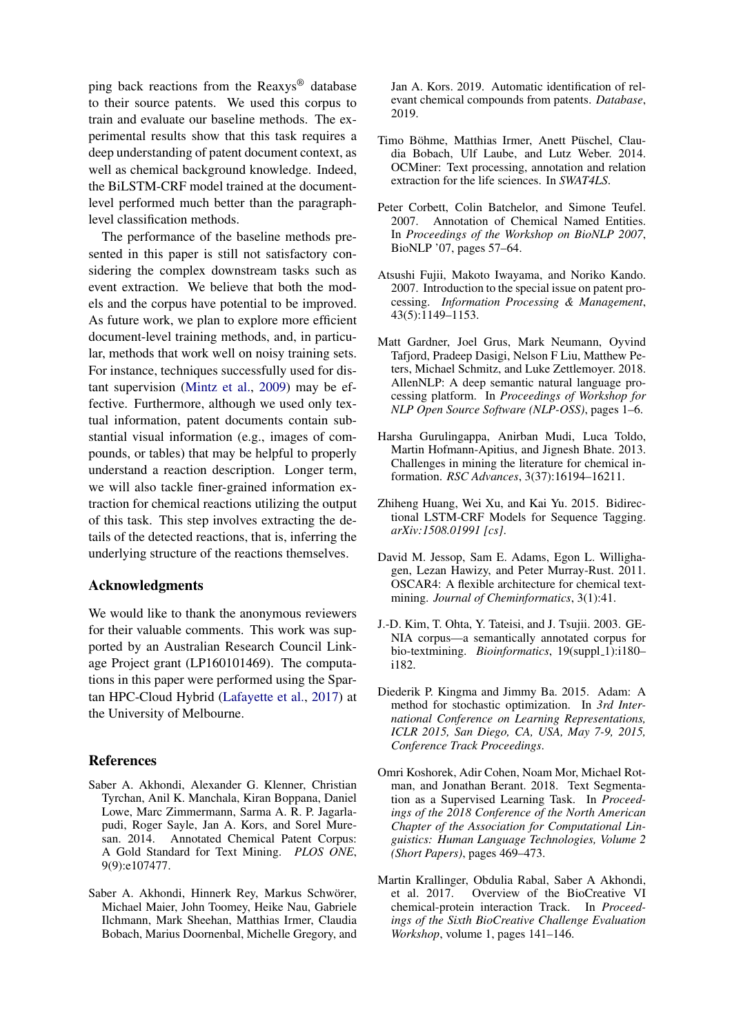ping back reactions from the Reaxys® database to their source patents. We used this corpus to train and evaluate our baseline methods. The experimental results show that this task requires a deep understanding of patent document context, as well as chemical background knowledge. Indeed, the BiLSTM-CRF model trained at the documentlevel performed much better than the paragraphlevel classification methods.

The performance of the baseline methods presented in this paper is still not satisfactory considering the complex downstream tasks such as event extraction. We believe that both the models and the corpus have potential to be improved. As future work, we plan to explore more efficient document-level training methods, and, in particular, methods that work well on noisy training sets. For instance, techniques successfully used for distant supervision [\(Mintz et al.,](#page-9-16) [2009\)](#page-9-16) may be effective. Furthermore, although we used only textual information, patent documents contain substantial visual information (e.g., images of compounds, or tables) that may be helpful to properly understand a reaction description. Longer term, we will also tackle finer-grained information extraction for chemical reactions utilizing the output of this task. This step involves extracting the details of the detected reactions, that is, inferring the underlying structure of the reactions themselves.

# Acknowledgments

We would like to thank the anonymous reviewers for their valuable comments. This work was supported by an Australian Research Council Linkage Project grant (LP160101469). The computations in this paper were performed using the Spartan HPC-Cloud Hybrid [\(Lafayette et al.,](#page-9-17) [2017\)](#page-9-17) at the University of Melbourne.

# References

- <span id="page-8-0"></span>Saber A. Akhondi, Alexander G. Klenner, Christian Tyrchan, Anil K. Manchala, Kiran Boppana, Daniel Lowe, Marc Zimmermann, Sarma A. R. P. Jagarlapudi, Roger Sayle, Jan A. Kors, and Sorel Muresan. 2014. Annotated Chemical Patent Corpus: A Gold Standard for Text Mining. *PLOS ONE*, 9(9):e107477.
- <span id="page-8-4"></span>Saber A. Akhondi, Hinnerk Rey, Markus Schwörer, Michael Maier, John Toomey, Heike Nau, Gabriele Ilchmann, Mark Sheehan, Matthias Irmer, Claudia Bobach, Marius Doornenbal, Michelle Gregory, and

Jan A. Kors. 2019. Automatic identification of relevant chemical compounds from patents. *Database*, 2019.

- <span id="page-8-7"></span>Timo Böhme, Matthias Irmer, Anett Püschel, Claudia Bobach, Ulf Laube, and Lutz Weber. 2014. OCMiner: Text processing, annotation and relation extraction for the life sciences. In *SWAT4LS*.
- <span id="page-8-2"></span>Peter Corbett, Colin Batchelor, and Simone Teufel. 2007. Annotation of Chemical Named Entities. In *Proceedings of the Workshop on BioNLP 2007*, BioNLP '07, pages 57–64.
- <span id="page-8-5"></span>Atsushi Fujii, Makoto Iwayama, and Noriko Kando. 2007. Introduction to the special issue on patent processing. *Information Processing & Management*, 43(5):1149–1153.
- <span id="page-8-11"></span>Matt Gardner, Joel Grus, Mark Neumann, Oyvind Tafjord, Pradeep Dasigi, Nelson F Liu, Matthew Peters, Michael Schmitz, and Luke Zettlemoyer. 2018. AllenNLP: A deep semantic natural language processing platform. In *Proceedings of Workshop for NLP Open Source Software (NLP-OSS)*, pages 1–6.
- <span id="page-8-6"></span>Harsha Gurulingappa, Anirban Mudi, Luca Toldo, Martin Hofmann-Apitius, and Jignesh Bhate. 2013. Challenges in mining the literature for chemical information. *RSC Advances*, 3(37):16194–16211.
- <span id="page-8-10"></span>Zhiheng Huang, Wei Xu, and Kai Yu. 2015. Bidirectional LSTM-CRF Models for Sequence Tagging. *arXiv:1508.01991 [cs]*.
- <span id="page-8-9"></span>David M. Jessop, Sam E. Adams, Egon L. Willighagen, Lezan Hawizy, and Peter Murray-Rust. 2011. OSCAR4: A flexible architecture for chemical textmining. *Journal of Cheminformatics*, 3(1):41.
- <span id="page-8-1"></span>J.-D. Kim, T. Ohta, Y. Tateisi, and J. Tsujii. 2003. GE-NIA corpus—a semantically annotated corpus for bio-textmining. *Bioinformatics*, 19(suppl\_1):i180i182.
- <span id="page-8-12"></span>Diederik P. Kingma and Jimmy Ba. 2015. Adam: A method for stochastic optimization. In *3rd International Conference on Learning Representations, ICLR 2015, San Diego, CA, USA, May 7-9, 2015, Conference Track Proceedings*.
- <span id="page-8-8"></span>Omri Koshorek, Adir Cohen, Noam Mor, Michael Rotman, and Jonathan Berant. 2018. Text Segmentation as a Supervised Learning Task. In *Proceedings of the 2018 Conference of the North American Chapter of the Association for Computational Linguistics: Human Language Technologies, Volume 2 (Short Papers)*, pages 469–473.
- <span id="page-8-3"></span>Martin Krallinger, Obdulia Rabal, Saber A Akhondi, et al. 2017. Overview of the BioCreative VI chemical-protein interaction Track. In *Proceedings of the Sixth BioCreative Challenge Evaluation Workshop*, volume 1, pages 141–146.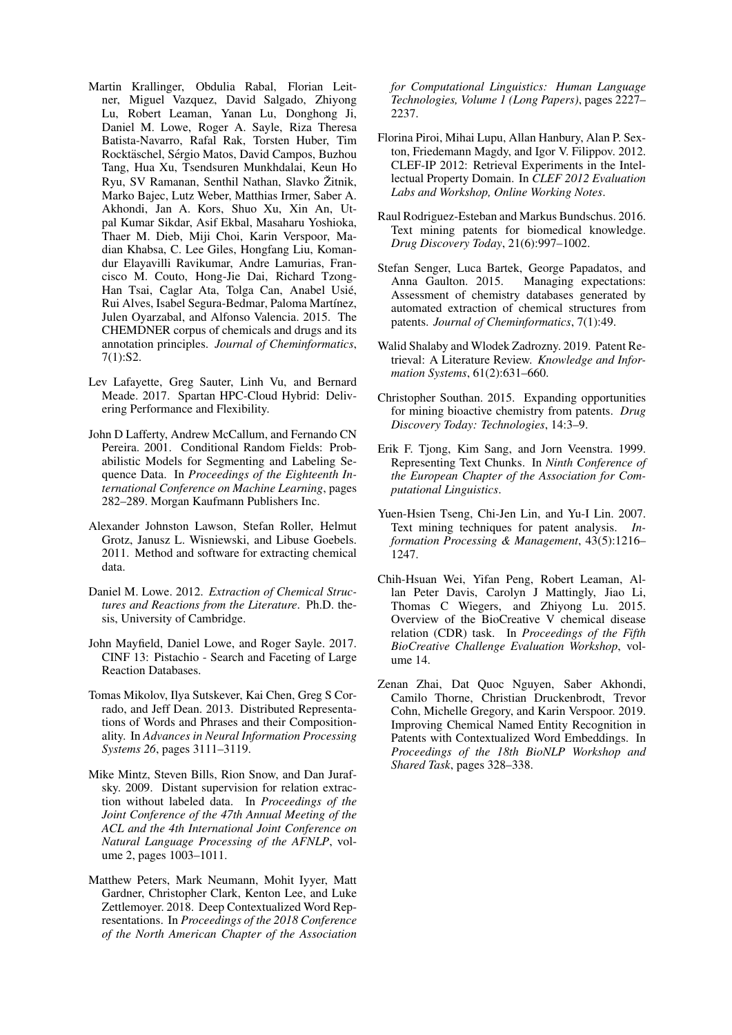- <span id="page-9-1"></span>Martin Krallinger, Obdulia Rabal, Florian Leitner, Miguel Vazquez, David Salgado, Zhiyong Lu, Robert Leaman, Yanan Lu, Donghong Ji, Daniel M. Lowe, Roger A. Sayle, Riza Theresa Batista-Navarro, Rafal Rak, Torsten Huber, Tim Rocktäschel, Sérgio Matos, David Campos, Buzhou Tang, Hua Xu, Tsendsuren Munkhdalai, Keun Ho Ryu, SV Ramanan, Senthil Nathan, Slavko Žitnik, Marko Bajec, Lutz Weber, Matthias Irmer, Saber A. Akhondi, Jan A. Kors, Shuo Xu, Xin An, Utpal Kumar Sikdar, Asif Ekbal, Masaharu Yoshioka, Thaer M. Dieb, Miji Choi, Karin Verspoor, Madian Khabsa, C. Lee Giles, Hongfang Liu, Komandur Elayavilli Ravikumar, Andre Lamurias, Francisco M. Couto, Hong-Jie Dai, Richard Tzong-Han Tsai, Caglar Ata, Tolga Can, Anabel Usie,´ Rui Alves, Isabel Segura-Bedmar, Paloma Martínez, Julen Oyarzabal, and Alfonso Valencia. 2015. The CHEMDNER corpus of chemicals and drugs and its annotation principles. *Journal of Cheminformatics*, 7(1):S2.
- <span id="page-9-17"></span>Lev Lafayette, Greg Sauter, Linh Vu, and Bernard Meade. 2017. Spartan HPC-Cloud Hybrid: Delivering Performance and Flexibility.
- <span id="page-9-12"></span>John D Lafferty, Andrew McCallum, and Fernando CN Pereira. 2001. Conditional Random Fields: Probabilistic Models for Segmenting and Labeling Sequence Data. In *Proceedings of the Eighteenth International Conference on Machine Learning*, pages 282–289. Morgan Kaufmann Publishers Inc.
- <span id="page-9-6"></span>Alexander Johnston Lawson, Stefan Roller, Helmut Grotz, Janusz L. Wisniewski, and Libuse Goebels. 2011. Method and software for extracting chemical data.
- <span id="page-9-8"></span>Daniel M. Lowe. 2012. *Extraction of Chemical Structures and Reactions from the Literature*. Ph.D. thesis, University of Cambridge.
- <span id="page-9-7"></span>John Mayfield, Daniel Lowe, and Roger Sayle. 2017. CINF 13: Pistachio - Search and Faceting of Large Reaction Databases.
- <span id="page-9-13"></span>Tomas Mikolov, Ilya Sutskever, Kai Chen, Greg S Corrado, and Jeff Dean. 2013. Distributed Representations of Words and Phrases and their Compositionality. In *Advances in Neural Information Processing Systems 26*, pages 3111–3119.
- <span id="page-9-16"></span>Mike Mintz, Steven Bills, Rion Snow, and Dan Jurafsky. 2009. Distant supervision for relation extraction without labeled data. In *Proceedings of the Joint Conference of the 47th Annual Meeting of the ACL and the 4th International Joint Conference on Natural Language Processing of the AFNLP*, volume 2, pages 1003–1011.
- <span id="page-9-14"></span>Matthew Peters, Mark Neumann, Mohit Iyyer, Matt Gardner, Christopher Clark, Kenton Lee, and Luke Zettlemoyer. 2018. Deep Contextualized Word Representations. In *Proceedings of the 2018 Conference of the North American Chapter of the Association*

*for Computational Linguistics: Human Language Technologies, Volume 1 (Long Papers)*, pages 2227– 2237.

- <span id="page-9-10"></span>Florina Piroi, Mihai Lupu, Allan Hanbury, Alan P. Sexton, Friedemann Magdy, and Igor V. Filippov. 2012. CLEF-IP 2012: Retrieval Experiments in the Intellectual Property Domain. In *CLEF 2012 Evaluation Labs and Workshop, Online Working Notes*.
- <span id="page-9-5"></span>Raul Rodriguez-Esteban and Markus Bundschus. 2016. Text mining patents for biomedical knowledge. *Drug Discovery Today*, 21(6):997–1002.
- <span id="page-9-0"></span>Stefan Senger, Luca Bartek, George Papadatos, and Anna Gaulton. 2015. Managing expectations: Assessment of chemistry databases generated by automated extraction of chemical structures from patents. *Journal of Cheminformatics*, 7(1):49.
- <span id="page-9-9"></span>Walid Shalaby and Wlodek Zadrozny. 2019. Patent Retrieval: A Literature Review. *Knowledge and Information Systems*, 61(2):631–660.
- <span id="page-9-4"></span>Christopher Southan. 2015. Expanding opportunities for mining bioactive chemistry from patents. *Drug Discovery Today: Technologies*, 14:3–9.
- <span id="page-9-11"></span>Erik F. Tjong, Kim Sang, and Jorn Veenstra. 1999. Representing Text Chunks. In *Ninth Conference of the European Chapter of the Association for Computational Linguistics*.
- <span id="page-9-3"></span>Yuen-Hsien Tseng, Chi-Jen Lin, and Yu-I Lin. 2007. Text mining techniques for patent analysis. *Information Processing & Management*, 43(5):1216– 1247.
- <span id="page-9-2"></span>Chih-Hsuan Wei, Yifan Peng, Robert Leaman, Allan Peter Davis, Carolyn J Mattingly, Jiao Li, Thomas C Wiegers, and Zhiyong Lu. 2015. Overview of the BioCreative V chemical disease relation (CDR) task. In *Proceedings of the Fifth BioCreative Challenge Evaluation Workshop*, volume 14.
- <span id="page-9-15"></span>Zenan Zhai, Dat Quoc Nguyen, Saber Akhondi, Camilo Thorne, Christian Druckenbrodt, Trevor Cohn, Michelle Gregory, and Karin Verspoor. 2019. Improving Chemical Named Entity Recognition in Patents with Contextualized Word Embeddings. In *Proceedings of the 18th BioNLP Workshop and Shared Task*, pages 328–338.